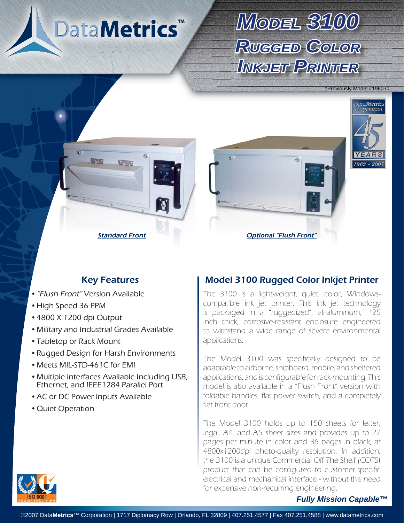DataMetrics<sup>™</sup>

# *MODEL3100* **Rugged Color** *INKJET PRINTER*

Previously Model #1960 C



- "Flush Front" Version Available
- High Speed 36 PPM
- 4800 X 1200 dpi Output •
- Military and Industrial Grades Available •
- Tabletop or Rack Mount
- Rugged Design for Harsh Environments
- Meets MIL-STD-461C for EMI
- Multiple Interfaces Available Including USB, Ethernet, and IEEE1284 Parallel Port
- AC or DC Power Inputs Available
- Quiet Operation

# Key Features **Model 3100 Rugged Color Inkjet Printer**

The 3100 is a lightweight, quiet, color, Windowscompatible ink jet printer. This ink jet technology is packaged in a "ruggedized", all-aluminum, .125 inch thick, corrosive-resistant enclosure engineered to withstand a wide range of severe environmental applications.

The Model 3100 was specifically designed to be adaptable to airborne, shipboard, mobile, and sheltered applications, and is configurable for rack-mounting. This model is also available in a "Flush Front" version with foldable handles, flat power switch, and a completely flat front door.

The Model 3100 holds up to 150 sheets for letter, legal, A4, and A5 sheet sizes and provides up to 27 pages per minute in color and 36 pages in black, at 4800x1200dpi photo-quality resolution. In addition, the 3100 is a unique Commercial Off The Shelf (COTS) product that can be configured to customer-specific electrical and mechanical interface - without the need for expensive non-recurring engineering.

#### *Fully Mission Capable™*